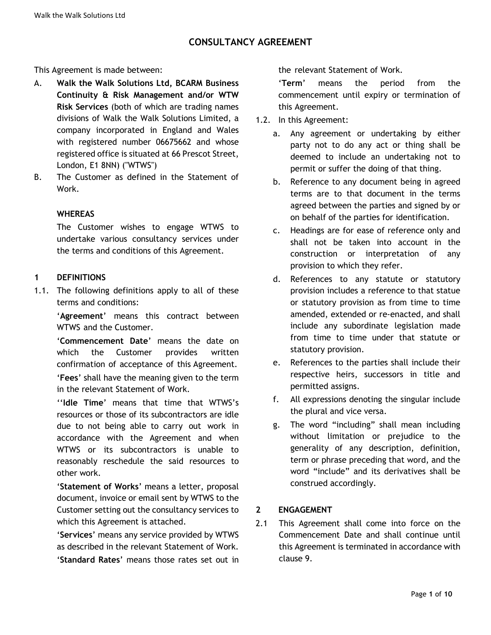This Agreement is made between:

- A. **Walk the Walk Solutions Ltd, BCARM Business Continuity & Risk Management and/or WTW Risk Services** (both of which are trading names divisions of Walk the Walk Solutions Limited, a company incorporated in England and Wales with registered number 06675662 and whose registered office is situated at 66 Prescot Street, London, E1 8NN) ("WTWS")
- B. The Customer as defined in the Statement of Work.

### **WHEREAS**

The Customer wishes to engage WTWS to undertake various consultancy services under the terms and conditions of this Agreement.

### **1 DEFINITIONS**

1.1. The following definitions apply to all of these terms and conditions:

> '**Agreement**' means this contract between WTWS and the Customer.

> '**Commencement Date**' means the date on which the Customer provides written confirmation of acceptance of this Agreement.

'**Fees**' shall have the meaning given to the term in the relevant Statement of Work.

''**Idle Time**' means that time that WTWS's resources or those of its subcontractors are idle due to not being able to carry out work in accordance with the Agreement and when WTWS or its subcontractors is unable to reasonably reschedule the said resources to other work.

'**Statement of Works**' means a letter, proposal document, invoice or email sent by WTWS to the Customer setting out the consultancy services to which this Agreement is attached.

'**Services**' means any service provided by WTWS as described in the relevant Statement of Work. '**Standard Rates**' means those rates set out in the relevant Statement of Work.

'**Term**' means the period from the commencement until expiry or termination of this Agreement.

- 1.2. In this Agreement:
	- a. Any agreement or undertaking by either party not to do any act or thing shall be deemed to include an undertaking not to permit or suffer the doing of that thing.
	- b. Reference to any document being in agreed terms are to that document in the terms agreed between the parties and signed by or on behalf of the parties for identification.
	- c. Headings are for ease of reference only and shall not be taken into account in the construction or interpretation of any provision to which they refer.
	- d. References to any statute or statutory provision includes a reference to that statue or statutory provision as from time to time amended, extended or re-enacted, and shall include any subordinate legislation made from time to time under that statute or statutory provision.
	- e. References to the parties shall include their respective heirs, successors in title and permitted assigns.
	- f. All expressions denoting the singular include the plural and vice versa.
	- g. The word "including" shall mean including without limitation or prejudice to the generality of any description, definition, term or phrase preceding that word, and the word "include" and its derivatives shall be construed accordingly.

## **2 ENGAGEMENT**

2.1 This Agreement shall come into force on the Commencement Date and shall continue until this Agreement is terminated in accordance with clause 9.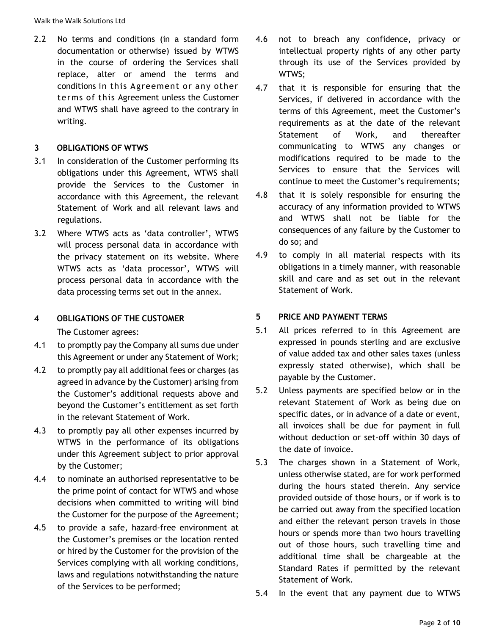Walk the Walk Solutions Ltd

2.2 No terms and conditions (in a standard form documentation or otherwise) issued by WTWS in the course of ordering the Services shall replace, alter or amend the terms and conditions in this Agreement or any other terms of this Agreement unless the Customer and WTWS shall have agreed to the contrary in writing.

### **3 OBLIGATIONS OF WTWS**

- 3.1 In consideration of the Customer performing its obligations under this Agreement, WTWS shall provide the Services to the Customer in accordance with this Agreement, the relevant Statement of Work and all relevant laws and regulations.
- 3.2 Where WTWS acts as 'data controller', WTWS will process personal data in accordance with the privacy statement on its website. Where WTWS acts as 'data processor', WTWS will process personal data in accordance with the data processing terms set out in the annex.

# **4 OBLIGATIONS OF THE CUSTOMER**

The Customer agrees:

- 4.1 to promptly pay the Company all sums due under this Agreement or under any Statement of Work;
- 4.2 to promptly pay all additional fees or charges (as agreed in advance by the Customer) arising from the Customer's additional requests above and beyond the Customer's entitlement as set forth in the relevant Statement of Work.
- 4.3 to promptly pay all other expenses incurred by WTWS in the performance of its obligations under this Agreement subject to prior approval by the Customer;
- 4.4 to nominate an authorised representative to be the prime point of contact for WTWS and whose decisions when committed to writing will bind the Customer for the purpose of the Agreement;
- 4.5 to provide a safe, hazard-free environment at the Customer's premises or the location rented or hired by the Customer for the provision of the Services complying with all working conditions, laws and regulations notwithstanding the nature of the Services to be performed;
- 4.6 not to breach any confidence, privacy or intellectual property rights of any other party through its use of the Services provided by WTWS;
- 4.7 that it is responsible for ensuring that the Services, if delivered in accordance with the terms of this Agreement, meet the Customer's requirements as at the date of the relevant Statement of Work, and thereafter communicating to WTWS any changes or modifications required to be made to the Services to ensure that the Services will continue to meet the Customer's requirements;
- 4.8 that it is solely responsible for ensuring the accuracy of any information provided to WTWS and WTWS shall not be liable for the consequences of any failure by the Customer to do so; and
- 4.9 to comply in all material respects with its obligations in a timely manner, with reasonable skill and care and as set out in the relevant Statement of Work.

## **5 PRICE AND PAYMENT TERMS**

- 5.1 All prices referred to in this Agreement are expressed in pounds sterling and are exclusive of value added tax and other sales taxes (unless expressly stated otherwise), which shall be payable by the Customer.
- 5.2 Unless payments are specified below or in the relevant Statement of Work as being due on specific dates, or in advance of a date or event, all invoices shall be due for payment in full without deduction or set-off within 30 days of the date of invoice.
- 5.3 The charges shown in a Statement of Work, unless otherwise stated, are for work performed during the hours stated therein. Any service provided outside of those hours, or if work is to be carried out away from the specified location and either the relevant person travels in those hours or spends more than two hours travelling out of those hours, such travelling time and additional time shall be chargeable at the Standard Rates if permitted by the relevant Statement of Work.
- 5.4 In the event that any payment due to WTWS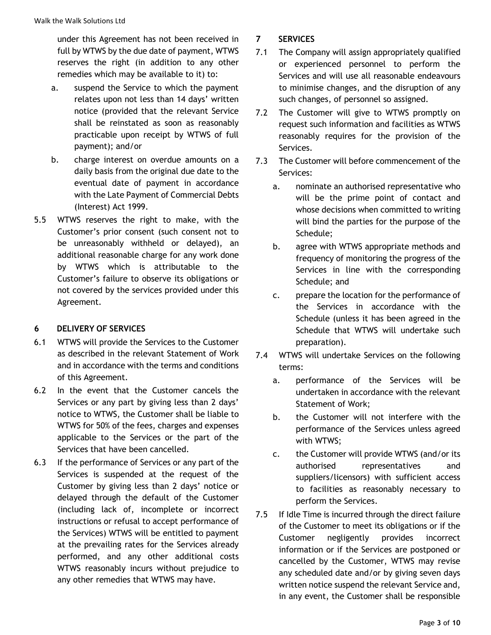under this Agreement has not been received in full by WTWS by the due date of payment, WTWS reserves the right (in addition to any other remedies which may be available to it) to:

- a. suspend the Service to which the payment relates upon not less than 14 days' written notice (provided that the relevant Service shall be reinstated as soon as reasonably practicable upon receipt by WTWS of full payment); and/or
- b. charge interest on overdue amounts on a daily basis from the original due date to the eventual date of payment in accordance with the Late Payment of Commercial Debts (Interest) Act 1999.
- 5.5 WTWS reserves the right to make, with the Customer's prior consent (such consent not to be unreasonably withheld or delayed), an additional reasonable charge for any work done by WTWS which is attributable to the Customer's failure to observe its obligations or not covered by the services provided under this Agreement.

# **6 DELIVERY OF SERVICES**

- 6.1 WTWS will provide the Services to the Customer as described in the relevant Statement of Work and in accordance with the terms and conditions of this Agreement.
- 6.2 In the event that the Customer cancels the Services or any part by giving less than 2 days' notice to WTWS, the Customer shall be liable to WTWS for 50% of the fees, charges and expenses applicable to the Services or the part of the Services that have been cancelled.
- 6.3 If the performance of Services or any part of the Services is suspended at the request of the Customer by giving less than 2 days' notice or delayed through the default of the Customer (including lack of, incomplete or incorrect instructions or refusal to accept performance of the Services) WTWS will be entitled to payment at the prevailing rates for the Services already performed, and any other additional costs WTWS reasonably incurs without prejudice to any other remedies that WTWS may have.

# **7 SERVICES**

- 7.1 The Company will assign appropriately qualified or experienced personnel to perform the Services and will use all reasonable endeavours to minimise changes, and the disruption of any such changes, of personnel so assigned.
- 7.2 The Customer will give to WTWS promptly on request such information and facilities as WTWS reasonably requires for the provision of the Services.
- 7.3 The Customer will before commencement of the Services:
	- a. nominate an authorised representative who will be the prime point of contact and whose decisions when committed to writing will bind the parties for the purpose of the Schedule;
	- b. agree with WTWS appropriate methods and frequency of monitoring the progress of the Services in line with the corresponding Schedule; and
	- c. prepare the location for the performance of the Services in accordance with the Schedule (unless it has been agreed in the Schedule that WTWS will undertake such preparation).
- 7.4 WTWS will undertake Services on the following terms:
	- a. performance of the Services will be undertaken in accordance with the relevant Statement of Work;
	- b. the Customer will not interfere with the performance of the Services unless agreed with WTWS;
	- c. the Customer will provide WTWS (and/or its authorised representatives and suppliers/licensors) with sufficient access to facilities as reasonably necessary to perform the Services.
- 7.5 If Idle Time is incurred through the direct failure of the Customer to meet its obligations or if the Customer negligently provides incorrect information or if the Services are postponed or cancelled by the Customer, WTWS may revise any scheduled date and/or by giving seven days written notice suspend the relevant Service and, in any event, the Customer shall be responsible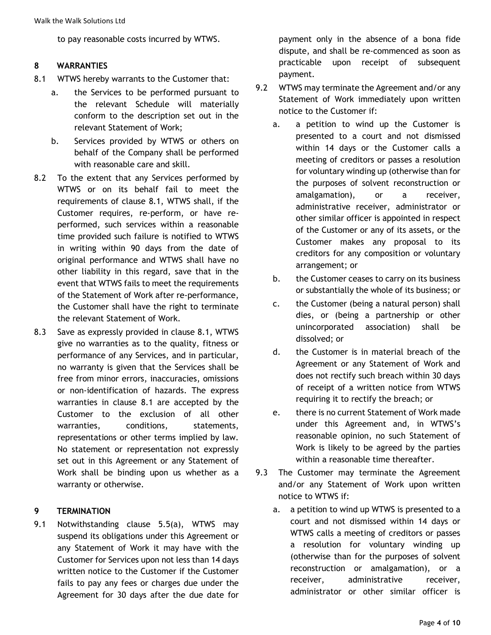to pay reasonable costs incurred by WTWS.

#### **8 WARRANTIES**

- 8.1 WTWS hereby warrants to the Customer that:
	- a. the Services to be performed pursuant to the relevant Schedule will materially conform to the description set out in the relevant Statement of Work;
	- b. Services provided by WTWS or others on behalf of the Company shall be performed with reasonable care and skill.
- 8.2 To the extent that any Services performed by WTWS or on its behalf fail to meet the requirements of clause 8.1, WTWS shall, if the Customer requires, re-perform, or have reperformed, such services within a reasonable time provided such failure is notified to WTWS in writing within 90 days from the date of original performance and WTWS shall have no other liability in this regard, save that in the event that WTWS fails to meet the requirements of the Statement of Work after re-performance, the Customer shall have the right to terminate the relevant Statement of Work.
- 8.3 Save as expressly provided in clause 8.1, WTWS give no warranties as to the quality, fitness or performance of any Services, and in particular, no warranty is given that the Services shall be free from minor errors, inaccuracies, omissions or non-identification of hazards. The express warranties in clause 8.1 are accepted by the Customer to the exclusion of all other warranties, conditions, statements, representations or other terms implied by law. No statement or representation not expressly set out in this Agreement or any Statement of Work shall be binding upon us whether as a warranty or otherwise.

#### **9 TERMINATION**

9.1 Notwithstanding clause 5.5(a), WTWS may suspend its obligations under this Agreement or any Statement of Work it may have with the Customer for Services upon not less than 14 days written notice to the Customer if the Customer fails to pay any fees or charges due under the Agreement for 30 days after the due date for payment only in the absence of a bona fide dispute, and shall be re-commenced as soon as practicable upon receipt of subsequent payment.

- 9.2 WTWS may terminate the Agreement and/or any Statement of Work immediately upon written notice to the Customer if:
	- a. a petition to wind up the Customer is presented to a court and not dismissed within 14 days or the Customer calls a meeting of creditors or passes a resolution for voluntary winding up (otherwise than for the purposes of solvent reconstruction or amalgamation), or a receiver, administrative receiver, administrator or other similar officer is appointed in respect of the Customer or any of its assets, or the Customer makes any proposal to its creditors for any composition or voluntary arrangement; or
	- b. the Customer ceases to carry on its business or substantially the whole of its business; or
	- c. the Customer (being a natural person) shall dies, or (being a partnership or other unincorporated association) shall be dissolved; or
	- d. the Customer is in material breach of the Agreement or any Statement of Work and does not rectify such breach within 30 days of receipt of a written notice from WTWS requiring it to rectify the breach; or
	- e. there is no current Statement of Work made under this Agreement and, in WTWS's reasonable opinion, no such Statement of Work is likely to be agreed by the parties within a reasonable time thereafter.
- 9.3 The Customer may terminate the Agreement and/or any Statement of Work upon written notice to WTWS if:
	- a. a petition to wind up WTWS is presented to a court and not dismissed within 14 days or WTWS calls a meeting of creditors or passes a resolution for voluntary winding up (otherwise than for the purposes of solvent reconstruction or amalgamation), or a receiver, administrative receiver, administrator or other similar officer is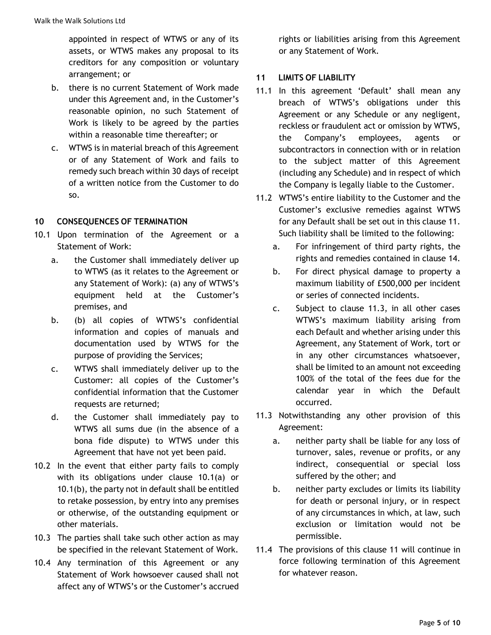appointed in respect of WTWS or any of its assets, or WTWS makes any proposal to its creditors for any composition or voluntary arrangement; or

- b. there is no current Statement of Work made under this Agreement and, in the Customer's reasonable opinion, no such Statement of Work is likely to be agreed by the parties within a reasonable time thereafter; or
- c. WTWS is in material breach of this Agreement or of any Statement of Work and fails to remedy such breach within 30 days of receipt of a written notice from the Customer to do so.

## **10 CONSEQUENCES OF TERMINATION**

- 10.1 Upon termination of the Agreement or a Statement of Work:
	- a. the Customer shall immediately deliver up to WTWS (as it relates to the Agreement or any Statement of Work): (a) any of WTWS's equipment held at the Customer's premises, and
	- b. (b) all copies of WTWS's confidential information and copies of manuals and documentation used by WTWS for the purpose of providing the Services;
	- c. WTWS shall immediately deliver up to the Customer: all copies of the Customer's confidential information that the Customer requests are returned;
	- d. the Customer shall immediately pay to WTWS all sums due (in the absence of a bona fide dispute) to WTWS under this Agreement that have not yet been paid.
- 10.2 In the event that either party fails to comply with its obligations under clause 10.1(a) or 10.1(b), the party not in default shall be entitled to retake possession, by entry into any premises or otherwise, of the outstanding equipment or other materials.
- 10.3 The parties shall take such other action as may be specified in the relevant Statement of Work.
- 10.4 Any termination of this Agreement or any Statement of Work howsoever caused shall not affect any of WTWS's or the Customer's accrued

rights or liabilities arising from this Agreement or any Statement of Work.

# **11 LIMITS OF LIABILITY**

- 11.1 In this agreement 'Default' shall mean any breach of WTWS's obligations under this Agreement or any Schedule or any negligent, reckless or fraudulent act or omission by WTWS, the Company's employees, agents or subcontractors in connection with or in relation to the subject matter of this Agreement (including any Schedule) and in respect of which the Company is legally liable to the Customer.
- 11.2 WTWS's entire liability to the Customer and the Customer's exclusive remedies against WTWS for any Default shall be set out in this clause 11. Such liability shall be limited to the following:
	- a. For infringement of third party rights, the rights and remedies contained in clause 14.
	- b. For direct physical damage to property a maximum liability of £500,000 per incident or series of connected incidents.
	- c. Subject to clause 11.3, in all other cases WTWS's maximum liability arising from each Default and whether arising under this Agreement, any Statement of Work, tort or in any other circumstances whatsoever, shall be limited to an amount not exceeding 100% of the total of the fees due for the calendar year in which the Default occurred.
- 11.3 Notwithstanding any other provision of this Agreement:
	- a. neither party shall be liable for any loss of turnover, sales, revenue or profits, or any indirect, consequential or special loss suffered by the other; and
	- b. neither party excludes or limits its liability for death or personal injury, or in respect of any circumstances in which, at law, such exclusion or limitation would not be permissible.
- 11.4 The provisions of this clause 11 will continue in force following termination of this Agreement for whatever reason.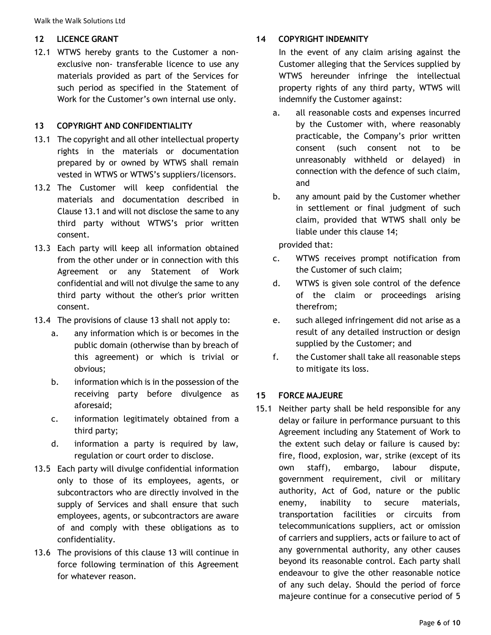Walk the Walk Solutions Ltd

### **12 LICENCE GRANT**

12.1 WTWS hereby grants to the Customer a nonexclusive non- transferable licence to use any materials provided as part of the Services for such period as specified in the Statement of Work for the Customer's own internal use only.

#### **13 COPYRIGHT AND CONFIDENTIALITY**

- 13.1 The copyright and all other intellectual property rights in the materials or documentation prepared by or owned by WTWS shall remain vested in WTWS or WTWS's suppliers/licensors.
- 13.2 The Customer will keep confidential the materials and documentation described in Clause 13.1 and will not disclose the same to any third party without WTWS's prior written consent.
- 13.3 Each party will keep all information obtained from the other under or in connection with this Agreement or any Statement of Work confidential and will not divulge the same to any third party without the other's prior written consent.
- 13.4 The provisions of clause 13 shall not apply to:
	- a. any information which is or becomes in the public domain (otherwise than by breach of this agreement) or which is trivial or obvious;
	- b. information which is in the possession of the receiving party before divulgence as aforesaid;
	- c. information legitimately obtained from a third party;
	- d. information a party is required by law, regulation or court order to disclose.
- 13.5 Each party will divulge confidential information only to those of its employees, agents, or subcontractors who are directly involved in the supply of Services and shall ensure that such employees, agents, or subcontractors are aware of and comply with these obligations as to confidentiality.
- 13.6 The provisions of this clause 13 will continue in force following termination of this Agreement for whatever reason.

## **14 COPYRIGHT INDEMNITY**

In the event of any claim arising against the Customer alleging that the Services supplied by WTWS hereunder infringe the intellectual property rights of any third party, WTWS will indemnify the Customer against:

- a. all reasonable costs and expenses incurred by the Customer with, where reasonably practicable, the Company's prior written consent (such consent not to be unreasonably withheld or delayed) in connection with the defence of such claim, and
- b. any amount paid by the Customer whether in settlement or final judgment of such claim, provided that WTWS shall only be liable under this clause 14;

provided that:

- c. WTWS receives prompt notification from the Customer of such claim;
- d. WTWS is given sole control of the defence of the claim or proceedings arising therefrom;
- e. such alleged infringement did not arise as a result of any detailed instruction or design supplied by the Customer; and
- f. the Customer shall take all reasonable steps to mitigate its loss.

## **15 FORCE MAJEURE**

15.1 Neither party shall be held responsible for any delay or failure in performance pursuant to this Agreement including any Statement of Work to the extent such delay or failure is caused by: fire, flood, explosion, war, strike (except of its own staff), embargo, labour dispute, government requirement, civil or military authority, Act of God, nature or the public enemy, inability to secure materials, transportation facilities or circuits from telecommunications suppliers, act or omission of carriers and suppliers, acts or failure to act of any governmental authority, any other causes beyond its reasonable control. Each party shall endeavour to give the other reasonable notice of any such delay. Should the period of force majeure continue for a consecutive period of 5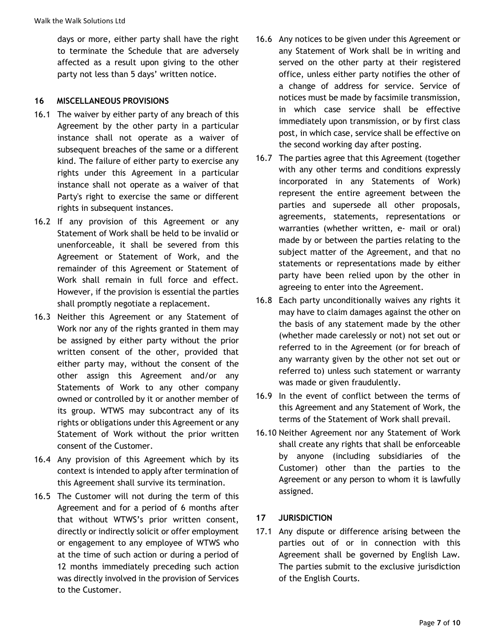days or more, either party shall have the right to terminate the Schedule that are adversely affected as a result upon giving to the other party not less than 5 days' written notice.

### **16 MISCELLANEOUS PROVISIONS**

- 16.1 The waiver by either party of any breach of this Agreement by the other party in a particular instance shall not operate as a waiver of subsequent breaches of the same or a different kind. The failure of either party to exercise any rights under this Agreement in a particular instance shall not operate as a waiver of that Party's right to exercise the same or different rights in subsequent instances.
- 16.2 If any provision of this Agreement or any Statement of Work shall be held to be invalid or unenforceable, it shall be severed from this Agreement or Statement of Work, and the remainder of this Agreement or Statement of Work shall remain in full force and effect. However, if the provision is essential the parties shall promptly negotiate a replacement.
- 16.3 Neither this Agreement or any Statement of Work nor any of the rights granted in them may be assigned by either party without the prior written consent of the other, provided that either party may, without the consent of the other assign this Agreement and/or any Statements of Work to any other company owned or controlled by it or another member of its group. WTWS may subcontract any of its rights or obligations under this Agreement or any Statement of Work without the prior written consent of the Customer.
- 16.4 Any provision of this Agreement which by its context is intended to apply after termination of this Agreement shall survive its termination.
- 16.5 The Customer will not during the term of this Agreement and for a period of 6 months after that without WTWS's prior written consent, directly or indirectly solicit or offer employment or engagement to any employee of WTWS who at the time of such action or during a period of 12 months immediately preceding such action was directly involved in the provision of Services to the Customer.
- 16.6 Any notices to be given under this Agreement or any Statement of Work shall be in writing and served on the other party at their registered office, unless either party notifies the other of a change of address for service. Service of notices must be made by facsimile transmission, in which case service shall be effective immediately upon transmission, or by first class post, in which case, service shall be effective on the second working day after posting.
- 16.7 The parties agree that this Agreement (together with any other terms and conditions expressly incorporated in any Statements of Work) represent the entire agreement between the parties and supersede all other proposals, agreements, statements, representations or warranties (whether written, e- mail or oral) made by or between the parties relating to the subject matter of the Agreement, and that no statements or representations made by either party have been relied upon by the other in agreeing to enter into the Agreement.
- 16.8 Each party unconditionally waives any rights it may have to claim damages against the other on the basis of any statement made by the other (whether made carelessly or not) not set out or referred to in the Agreement (or for breach of any warranty given by the other not set out or referred to) unless such statement or warranty was made or given fraudulently.
- 16.9 In the event of conflict between the terms of this Agreement and any Statement of Work, the terms of the Statement of Work shall prevail.
- 16.10 Neither Agreement nor any Statement of Work shall create any rights that shall be enforceable by anyone (including subsidiaries of the Customer) other than the parties to the Agreement or any person to whom it is lawfully assigned.

## **17 JURISDICTION**

17.1 Any dispute or difference arising between the parties out of or in connection with this Agreement shall be governed by English Law. The parties submit to the exclusive jurisdiction of the English Courts.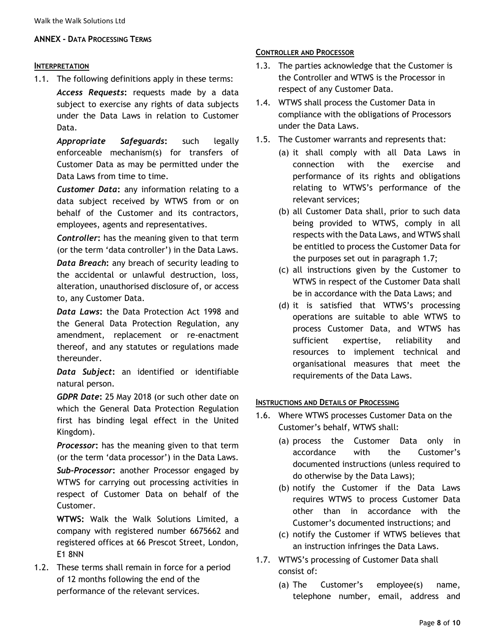#### **ANNEX - DATA PROCESSING TERMS**

#### **INTERPRETATION**

1.1. The following definitions apply in these terms:

Access Requests: requests made by a data subject to exercise any rights of data subjects under the Data Laws in relation to Customer Data.

*Appropriate Safeguards***:** such legally enforceable mechanism(s) for transfers of Customer Data as may be permitted under the Data Laws from time to time.

*Customer Data***:** any information relating to a data subject received by WTWS from or on behalf of the Customer and its contractors, employees, agents and representatives.

*Controller***:** has the meaning given to that term (or the term 'data controller') in the Data Laws.

*Data Breach***:** any breach of security leading to the accidental or unlawful destruction, loss, alteration, unauthorised disclosure of, or access to, any Customer Data.

*Data Laws***:** the Data Protection Act 1998 and the General Data Protection Regulation, any amendment, replacement or re-enactment thereof, and any statutes or regulations made thereunder.

*Data Subject***:** an identified or identifiable natural person.

*GDPR Date***:** 25 May 2018 (or such other date on which the General Data Protection Regulation first has binding legal effect in the United Kingdom).

*Processor***:** has the meaning given to that term (or the term 'data processor') in the Data Laws. *Sub-Processor***:** another Processor engaged by WTWS for carrying out processing activities in respect of Customer Data on behalf of the Customer.

**WTWS:** Walk the Walk Solutions Limited, a company with registered number 6675662 and registered offices at 66 Prescot Street, London, E1 8NN

1.2. These terms shall remain in force for a period of 12 months following the end of the performance of the relevant services.

#### **CONTROLLER AND PROCESSOR**

- 1.3. The parties acknowledge that the Customer is the Controller and WTWS is the Processor in respect of any Customer Data.
- 1.4. WTWS shall process the Customer Data in compliance with the obligations of Processors under the Data Laws.
- 1.5. The Customer warrants and represents that:
	- (a) it shall comply with all Data Laws in connection with the exercise and performance of its rights and obligations relating to WTWS's performance of the relevant services;
	- (b) all Customer Data shall, prior to such data being provided to WTWS, comply in all respects with the Data Laws, and WTWS shall be entitled to process the Customer Data for the purposes set out in paragraph 1.7;
	- (c) all instructions given by the Customer to WTWS in respect of the Customer Data shall be in accordance with the Data Laws; and
	- (d) it is satisfied that WTWS's processing operations are suitable to able WTWS to process Customer Data, and WTWS has sufficient expertise, reliability and resources to implement technical and organisational measures that meet the requirements of the Data Laws.

#### **INSTRUCTIONS AND DETAILS OF PROCESSING**

- 1.6. Where WTWS processes Customer Data on the Customer's behalf, WTWS shall:
	- (a) process the Customer Data only in accordance with the Customer's documented instructions (unless required to do otherwise by the Data Laws);
	- (b) notify the Customer if the Data Laws requires WTWS to process Customer Data other than in accordance with the Customer's documented instructions; and
	- (c) notify the Customer if WTWS believes that an instruction infringes the Data Laws.
- 1.7. WTWS's processing of Customer Data shall consist of:
	- (a) The Customer's employee(s) name, telephone number, email, address and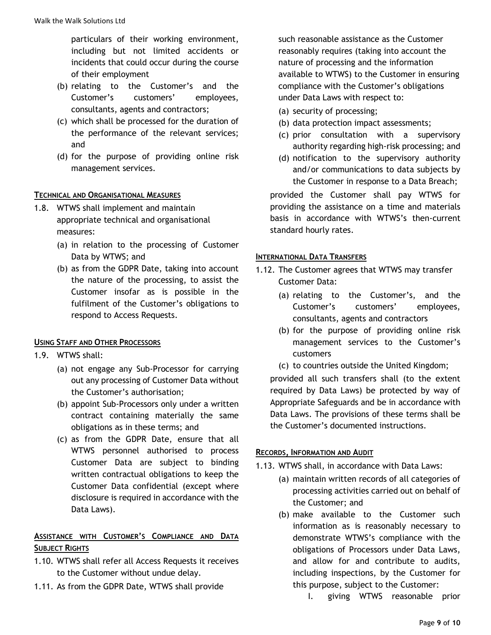particulars of their working environment, including but not limited accidents or incidents that could occur during the course of their employment

- (b) relating to the Customer's and the Customer's customers' employees, consultants, agents and contractors;
- (c) which shall be processed for the duration of the performance of the relevant services; and
- (d) for the purpose of providing online risk management services.

## **TECHNICAL AND ORGANISATIONAL MEASURES**

- 1.8. WTWS shall implement and maintain appropriate technical and organisational measures:
	- (a) in relation to the processing of Customer Data by WTWS; and
	- (b) as from the GDPR Date, taking into account the nature of the processing, to assist the Customer insofar as is possible in the fulfilment of the Customer's obligations to respond to Access Requests.

## **USING STAFF AND OTHER PROCESSORS**

- 1.9. WTWS shall:
	- (a) not engage any Sub-Processor for carrying out any processing of Customer Data without the Customer's authorisation;
	- (b) appoint Sub-Processors only under a written contract containing materially the same obligations as in these terms; and
	- (c) as from the GDPR Date, ensure that all WTWS personnel authorised to process Customer Data are subject to binding written contractual obligations to keep the Customer Data confidential (except where disclosure is required in accordance with the Data Laws).

# **ASSISTANCE WITH CUSTOMER'S COMPLIANCE AND DATA SUBJECT RIGHTS**

- 1.10. WTWS shall refer all Access Requests it receives to the Customer without undue delay.
- 1.11. As from the GDPR Date, WTWS shall provide

such reasonable assistance as the Customer reasonably requires (taking into account the nature of processing and the information available to WTWS) to the Customer in ensuring compliance with the Customer's obligations under Data Laws with respect to:

- (a) security of processing;
- (b) data protection impact assessments;
- (c) prior consultation with a supervisory authority regarding high-risk processing; and
- (d) notification to the supervisory authority and/or communications to data subjects by the Customer in response to a Data Breach;

provided the Customer shall pay WTWS for providing the assistance on a time and materials basis in accordance with WTWS's then-current standard hourly rates.

#### **INTERNATIONAL DATA TRANSFERS**

- 1.12. The Customer agrees that WTWS may transfer Customer Data:
	- (a) relating to the Customer's, and the Customer's customers' employees, consultants, agents and contractors
	- (b) for the purpose of providing online risk management services to the Customer's customers
	- (c) to countries outside the United Kingdom;

provided all such transfers shall (to the extent required by Data Laws) be protected by way of Appropriate Safeguards and be in accordance with Data Laws. The provisions of these terms shall be the Customer's documented instructions.

## **RECORDS, INFORMATION AND AUDIT**

- 1.13. WTWS shall, in accordance with Data Laws:
	- (a) maintain written records of all categories of processing activities carried out on behalf of the Customer; and
	- (b) make available to the Customer such information as is reasonably necessary to demonstrate WTWS's compliance with the obligations of Processors under Data Laws, and allow for and contribute to audits, including inspections, by the Customer for this purpose, subject to the Customer:
		- I. giving WTWS reasonable prior